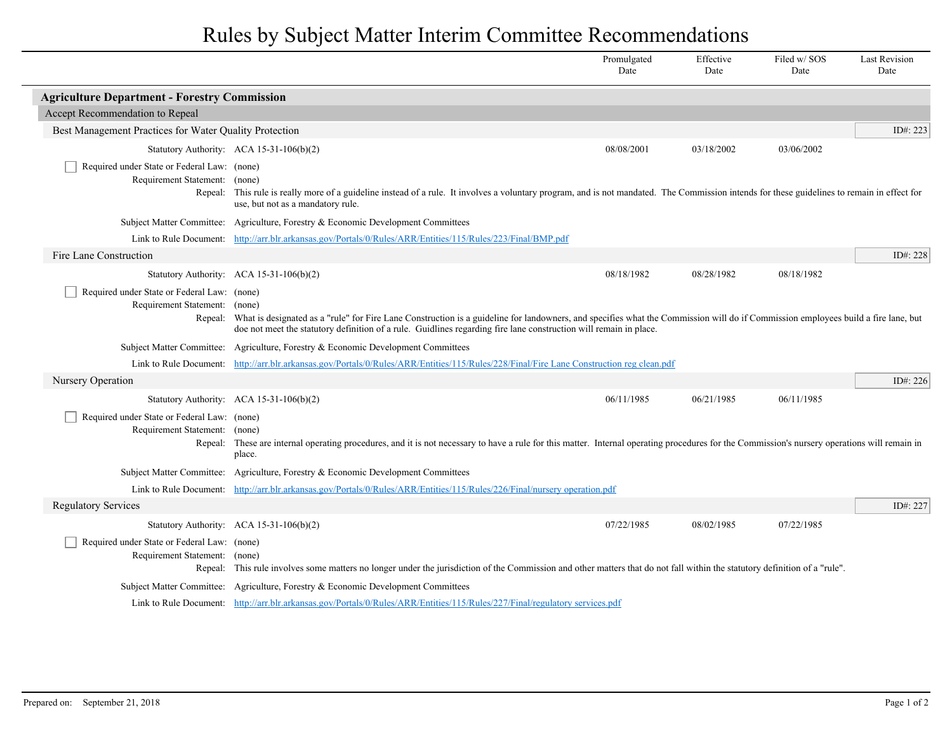## Rules by Subject Matter Interim Committee Recommendations

|                                                                                                                                                                                                                  |                                                                                                                                                                                                                                                                                                                | Promulgated<br>Date | Effective<br>Date | Filed w/SOS<br>Date | <b>Last Revision</b><br>Date |  |
|------------------------------------------------------------------------------------------------------------------------------------------------------------------------------------------------------------------|----------------------------------------------------------------------------------------------------------------------------------------------------------------------------------------------------------------------------------------------------------------------------------------------------------------|---------------------|-------------------|---------------------|------------------------------|--|
| <b>Agriculture Department - Forestry Commission</b>                                                                                                                                                              |                                                                                                                                                                                                                                                                                                                |                     |                   |                     |                              |  |
| Accept Recommendation to Repeal                                                                                                                                                                                  |                                                                                                                                                                                                                                                                                                                |                     |                   |                     |                              |  |
| Best Management Practices for Water Quality Protection                                                                                                                                                           |                                                                                                                                                                                                                                                                                                                |                     |                   |                     | ID#: $223$                   |  |
|                                                                                                                                                                                                                  | Statutory Authority: ACA 15-31-106(b)(2)                                                                                                                                                                                                                                                                       | 08/08/2001          | 03/18/2002        | 03/06/2002          |                              |  |
| Required under State or Federal Law: (none)<br>Requirement Statement:<br>Repeal:                                                                                                                                 | (none)<br>This rule is really more of a guideline instead of a rule. It involves a voluntary program, and is not mandated. The Commission intends for these guidelines to remain in effect for<br>use, but not as a mandatory rule.                                                                            |                     |                   |                     |                              |  |
|                                                                                                                                                                                                                  | Subject Matter Committee: Agriculture, Forestry & Economic Development Committees                                                                                                                                                                                                                              |                     |                   |                     |                              |  |
|                                                                                                                                                                                                                  | Link to Rule Document: http://arr.blr.arkansas.gov/Portals/0/Rules/ARR/Entities/115/Rules/223/Final/BMP.pdf                                                                                                                                                                                                    |                     |                   |                     |                              |  |
| Fire Lane Construction                                                                                                                                                                                           |                                                                                                                                                                                                                                                                                                                |                     |                   |                     | ID#: 228                     |  |
|                                                                                                                                                                                                                  | Statutory Authority: ACA 15-31-106(b)(2)                                                                                                                                                                                                                                                                       | 08/18/1982          | 08/28/1982        | 08/18/1982          |                              |  |
| Required under State or Federal Law: (none)<br>Requirement Statement: (none)                                                                                                                                     | Repeal: What is designated as a "rule" for Fire Lane Construction is a guideline for landowners, and specifies what the Commission will do if Commission employees build a fire lane, but<br>doe not meet the statutory definition of a rule. Guidlines regarding fire lane construction will remain in place. |                     |                   |                     |                              |  |
|                                                                                                                                                                                                                  | Subject Matter Committee: Agriculture, Forestry & Economic Development Committees                                                                                                                                                                                                                              |                     |                   |                     |                              |  |
|                                                                                                                                                                                                                  | Link to Rule Document: http://arr.blr.arkansas.gov/Portals/0/Rules/ARR/Entities/115/Rules/228/Final/Fire Lane Construction reg clean.pdf                                                                                                                                                                       |                     |                   |                     |                              |  |
| Nursery Operation                                                                                                                                                                                                |                                                                                                                                                                                                                                                                                                                |                     |                   |                     | ID#: $226$                   |  |
|                                                                                                                                                                                                                  | Statutory Authority: ACA 15-31-106(b)(2)                                                                                                                                                                                                                                                                       | 06/11/1985          | 06/21/1985        | 06/11/1985          |                              |  |
| Required under State or Federal Law: (none)<br>Requirement Statement: (none)                                                                                                                                     | Repeal: These are internal operating procedures, and it is not necessary to have a rule for this matter. Internal operating procedures for the Commission's nursery operations will remain in<br>place.                                                                                                        |                     |                   |                     |                              |  |
|                                                                                                                                                                                                                  | Subject Matter Committee: Agriculture, Forestry & Economic Development Committees                                                                                                                                                                                                                              |                     |                   |                     |                              |  |
|                                                                                                                                                                                                                  | Link to Rule Document: http://arr.blr.arkansas.gov/Portals/0/Rules/ARR/Entities/115/Rules/226/Final/nursery operation.pdf                                                                                                                                                                                      |                     |                   |                     |                              |  |
| <b>Regulatory Services</b>                                                                                                                                                                                       |                                                                                                                                                                                                                                                                                                                |                     |                   |                     | ID#: $227$                   |  |
|                                                                                                                                                                                                                  | Statutory Authority: ACA 15-31-106(b)(2)                                                                                                                                                                                                                                                                       | 07/22/1985          | 08/02/1985        | 07/22/1985          |                              |  |
| Required under State or Federal Law: (none)<br>Requirement Statement: (none)                                                                                                                                     | Repeal: This rule involves some matters no longer under the jurisdiction of the Commission and other matters that do not fall within the statutory definition of a "rule".                                                                                                                                     |                     |                   |                     |                              |  |
| Subject Matter Committee: Agriculture, Forestry & Economic Development Committees<br>Link to Rule Document: http://arr.blr.arkansas.gov/Portals/0/Rules/ARR/Entities/115/Rules/227/Final/regulatory services.pdf |                                                                                                                                                                                                                                                                                                                |                     |                   |                     |                              |  |